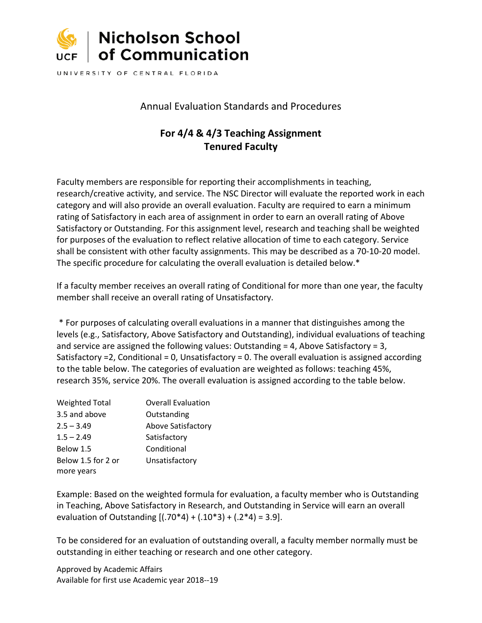

UNIVERSITY OF CENTRAL FLORIDA

## Annual Evaluation Standards and Procedures

# **For 4/4 & 4/3 Teaching Assignment Tenured Faculty**

Faculty members are responsible for reporting their accomplishments in teaching, research/creative activity, and service. The NSC Director will evaluate the reported work in each category and will also provide an overall evaluation. Faculty are required to earn a minimum rating of Satisfactory in each area of assignment in order to earn an overall rating of Above Satisfactory or Outstanding. For this assignment level, research and teaching shall be weighted for purposes of the evaluation to reflect relative allocation of time to each category. Service shall be consistent with other faculty assignments. This may be described as a 70-10-20 model. The specific procedure for calculating the overall evaluation is detailed below.\*

If a faculty member receives an overall rating of Conditional for more than one year, the faculty member shall receive an overall rating of Unsatisfactory.

\* For purposes of calculating overall evaluations in a manner that distinguishes among the levels (e.g., Satisfactory, Above Satisfactory and Outstanding), individual evaluations of teaching and service are assigned the following values: Outstanding = 4, Above Satisfactory = 3, Satisfactory =2, Conditional = 0, Unsatisfactory = 0. The overall evaluation is assigned according to the table below. The categories of evaluation are weighted as follows: teaching 45%, research 35%, service 20%. The overall evaluation is assigned according to the table below.

| <b>Weighted Total</b> | <b>Overall Evaluation</b> |
|-----------------------|---------------------------|
| 3.5 and above         | Outstanding               |
| $2.5 - 3.49$          | Above Satisfactory        |
| $1.5 - 2.49$          | Satisfactory              |
| Below 1.5             | Conditional               |
| Below 1.5 for 2 or    | Unsatisfactory            |
| more years            |                           |

Example: Based on the weighted formula for evaluation, a faculty member who is Outstanding in Teaching, Above Satisfactory in Research, and Outstanding in Service will earn an overall evaluation of Outstanding  $[(.70*4) + (.10*3) + (.2*4) = 3.9]$ .

To be considered for an evaluation of outstanding overall, a faculty member normally must be outstanding in either teaching or research and one other category.

Approved by Academic Affairs Available for first use Academic year 2018--19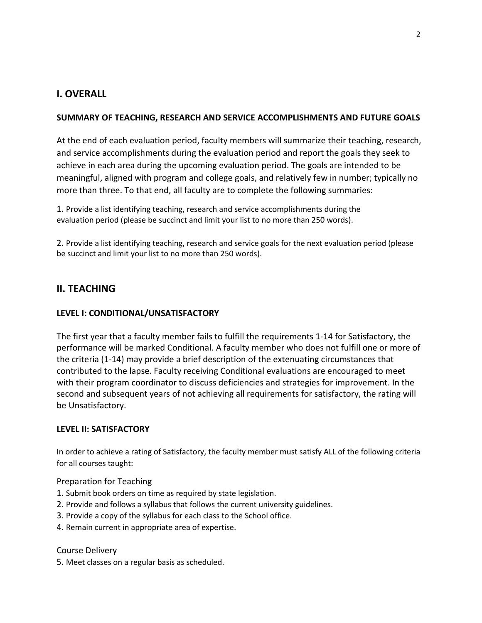## **I. OVERALL**

## **SUMMARY OF TEACHING, RESEARCH AND SERVICE ACCOMPLISHMENTS AND FUTURE GOALS**

At the end of each evaluation period, faculty members will summarize their teaching, research, and service accomplishments during the evaluation period and report the goals they seek to achieve in each area during the upcoming evaluation period. The goals are intended to be meaningful, aligned with program and college goals, and relatively few in number; typically no more than three. To that end, all faculty are to complete the following summaries:

1. Provide a list identifying teaching, research and service accomplishments during the evaluation period (please be succinct and limit your list to no more than 250 words).

2. Provide a list identifying teaching, research and service goals for the next evaluation period (please be succinct and limit your list to no more than 250 words).

## **II. TEACHING**

## **LEVEL I: CONDITIONAL/UNSATISFACTORY**

The first year that a faculty member fails to fulfill the requirements 1-14 for Satisfactory, the performance will be marked Conditional. A faculty member who does not fulfill one or more of the criteria (1-14) may provide a brief description of the extenuating circumstances that contributed to the lapse. Faculty receiving Conditional evaluations are encouraged to meet with their program coordinator to discuss deficiencies and strategies for improvement. In the second and subsequent years of not achieving all requirements for satisfactory, the rating will be Unsatisfactory.

## **LEVEL II: SATISFACTORY**

In order to achieve a rating of Satisfactory, the faculty member must satisfy ALL of the following criteria for all courses taught:

### Preparation for Teaching

- 1. Submit book orders on time as required by state legislation.
- 2. Provide and follows a syllabus that follows the current university guidelines.
- 3. Provide a copy of the syllabus for each class to the School office.
- 4. Remain current in appropriate area of expertise.

### Course Delivery

5. Meet classes on a regular basis as scheduled.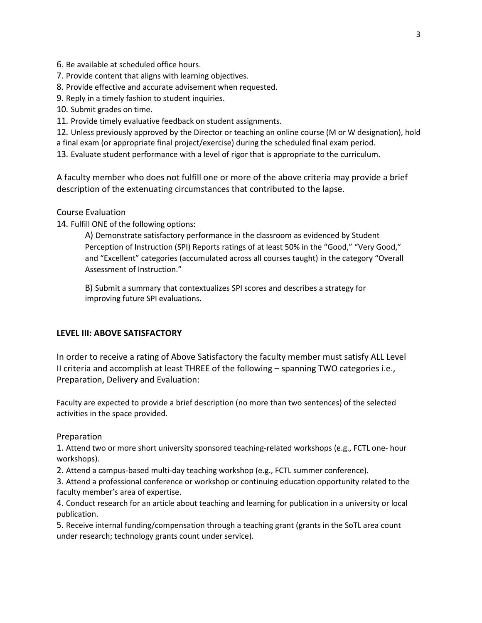6. Be available at scheduled office hours.

- 7. Provide content that aligns with learning objectives.
- 8. Provide effective and accurate advisement when requested.
- 9. Reply in a timely fashion to student inquiries.
- 10. Submit grades on time.
- 11. Provide timely evaluative feedback on student assignments.

12. Unless previously approved by the Director or teaching an online course (M or W designation), hold

a final exam (or appropriate final project/exercise) during the scheduled final exam period.

13. Evaluate student performance with a level of rigor that is appropriate to the curriculum.

A faculty member who does not fulfill one or more of the above criteria may provide a brief description of the extenuating circumstances that contributed to the lapse.

### Course Evaluation

14. Fulfill ONE of the following options:

A) Demonstrate satisfactory performance in the classroom as evidenced by Student Perception of Instruction (SPI) Reports ratings of at least 50% in the "Good," "Very Good," and "Excellent" categories (accumulated across all courses taught) in the category "Overall Assessment of Instruction."

B) Submit a summary that contextualizes SPI scores and describes a strategy for improving future SPI evaluations.

## **LEVEL III: ABOVE SATISFACTORY**

In order to receive a rating of Above Satisfactory the faculty member must satisfy ALL Level II criteria and accomplish at least THREE of the following – spanning TWO categories i.e., Preparation, Delivery and Evaluation:

Faculty are expected to provide a brief description (no more than two sentences) of the selected activities in the space provided.

### Preparation

1. Attend two or more short university sponsored teaching-related workshops (e.g., FCTL one- hour workshops).

2. Attend a campus-based multi-day teaching workshop (e.g., FCTL summer conference).

3. Attend a professional conference or workshop or continuing education opportunity related to the faculty member's area of expertise.

4. Conduct research for an article about teaching and learning for publication in a university or local publication.

5. Receive internal funding/compensation through a teaching grant (grants in the SoTL area count under research; technology grants count under service).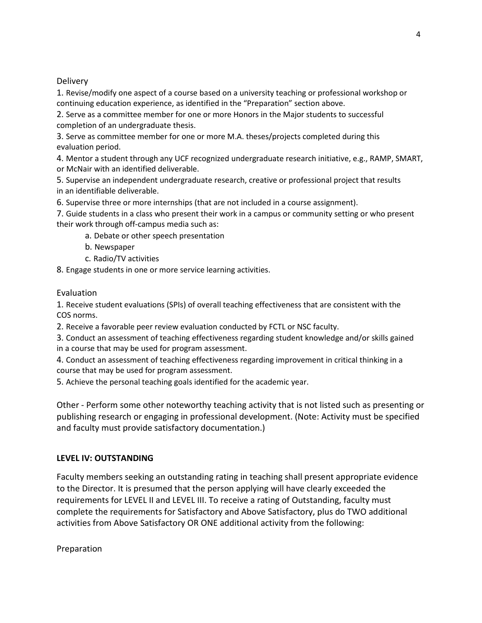### **Delivery**

1. Revise/modify one aspect of a course based on a university teaching or professional workshop or continuing education experience, as identified in the "Preparation" section above.

2. Serve as a committee member for one or more Honors in the Major students to successful completion of an undergraduate thesis.

3. Serve as committee member for one or more M.A. theses/projects completed during this evaluation period.

4. Mentor a student through any UCF recognized undergraduate research initiative, e.g., RAMP, SMART, or McNair with an identified deliverable.

5. Supervise an independent undergraduate research, creative or professional project that results in an identifiable deliverable.

6. Supervise three or more internships (that are not included in a course assignment).

7. Guide students in a class who present their work in a campus or community setting or who present their work through off-campus media such as:

a. Debate or other speech presentation

- b. Newspaper
- c. Radio/TV activities

8. Engage students in one or more service learning activities.

### Evaluation

1. Receive student evaluations (SPIs) of overall teaching effectiveness that are consistent with the COS norms.

2. Receive a favorable peer review evaluation conducted by FCTL or NSC faculty.

3. Conduct an assessment of teaching effectiveness regarding student knowledge and/or skills gained in a course that may be used for program assessment.

4. Conduct an assessment of teaching effectiveness regarding improvement in critical thinking in a course that may be used for program assessment.

5. Achieve the personal teaching goals identified for the academic year.

Other - Perform some other noteworthy teaching activity that is not listed such as presenting or publishing research or engaging in professional development. (Note: Activity must be specified and faculty must provide satisfactory documentation.)

## **LEVEL IV: OUTSTANDING**

Faculty members seeking an outstanding rating in teaching shall present appropriate evidence to the Director. It is presumed that the person applying will have clearly exceeded the requirements for LEVEL II and LEVEL III. To receive a rating of Outstanding, faculty must complete the requirements for Satisfactory and Above Satisfactory, plus do TWO additional activities from Above Satisfactory OR ONE additional activity from the following:

Preparation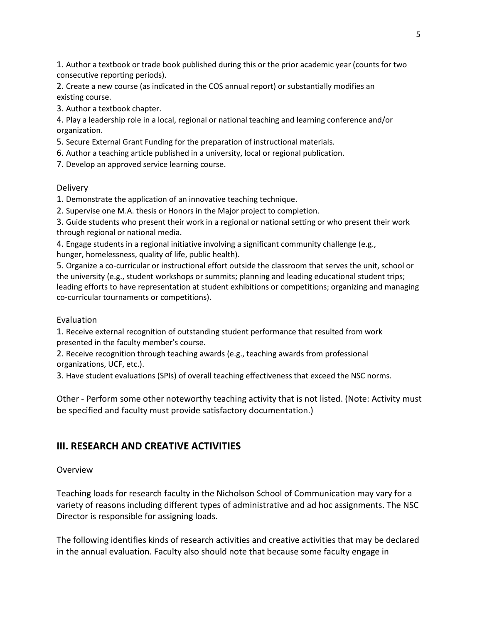1. Author a textbook or trade book published during this or the prior academic year (counts for two consecutive reporting periods).

2. Create a new course (as indicated in the COS annual report) or substantially modifies an existing course.

3. Author a textbook chapter.

4. Play a leadership role in a local, regional or national teaching and learning conference and/or organization.

5. Secure External Grant Funding for the preparation of instructional materials.

6. Author a teaching article published in a university, local or regional publication.

7. Develop an approved service learning course.

**Delivery** 

1. Demonstrate the application of an innovative teaching technique.

2. Supervise one M.A. thesis or Honors in the Major project to completion.

3. Guide students who present their work in a regional or national setting or who present their work through regional or national media.

4. Engage students in a regional initiative involving a significant community challenge (e.g., hunger, homelessness, quality of life, public health).

5. Organize a co-curricular or instructional effort outside the classroom that serves the unit, school or the university (e.g., student workshops or summits; planning and leading educational student trips; leading efforts to have representation at student exhibitions or competitions; organizing and managing co-curricular tournaments or competitions).

## Evaluation

1. Receive external recognition of outstanding student performance that resulted from work presented in the faculty member's course.

2. Receive recognition through teaching awards (e.g., teaching awards from professional organizations, UCF, etc.).

3. Have student evaluations (SPIs) of overall teaching effectiveness that exceed the NSC norms.

Other - Perform some other noteworthy teaching activity that is not listed. (Note: Activity must be specified and faculty must provide satisfactory documentation.)

## **III. RESEARCH AND CREATIVE ACTIVITIES**

### Overview

Teaching loads for research faculty in the Nicholson School of Communication may vary for a variety of reasons including different types of administrative and ad hoc assignments. The NSC Director is responsible for assigning loads.

The following identifies kinds of research activities and creative activities that may be declared in the annual evaluation. Faculty also should note that because some faculty engage in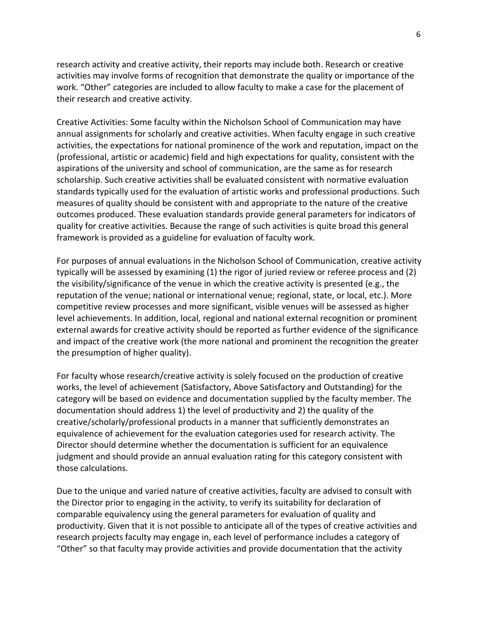research activity and creative activity, their reports may include both. Research or creative activities may involve forms of recognition that demonstrate the quality or importance of the work. "Other" categories are included to allow faculty to make a case for the placement of their research and creative activity.

Creative Activities: Some faculty within the Nicholson School of Communication may have annual assignments for scholarly and creative activities. When faculty engage in such creative activities, the expectations for national prominence of the work and reputation, impact on the (professional, artistic or academic) field and high expectations for quality, consistent with the aspirations of the university and school of communication, are the same as for research scholarship. Such creative activities shall be evaluated consistent with normative evaluation standards typically used for the evaluation of artistic works and professional productions. Such measures of quality should be consistent with and appropriate to the nature of the creative outcomes produced. These evaluation standards provide general parameters for indicators of quality for creative activities. Because the range of such activities is quite broad this general framework is provided as a guideline for evaluation of faculty work.

For purposes of annual evaluations in the Nicholson School of Communication, creative activity typically will be assessed by examining (1) the rigor of juried review or referee process and (2) the visibility/significance of the venue in which the creative activity is presented (e.g., the reputation of the venue; national or international venue; regional, state, or local, etc.). More competitive review processes and more significant, visible venues will be assessed as higher level achievements. In addition, local, regional and national external recognition or prominent external awards for creative activity should be reported as further evidence of the significance and impact of the creative work (the more national and prominent the recognition the greater the presumption of higher quality).

For faculty whose research/creative activity is solely focused on the production of creative works, the level of achievement (Satisfactory, Above Satisfactory and Outstanding) for the category will be based on evidence and documentation supplied by the faculty member. The documentation should address 1) the level of productivity and 2) the quality of the creative/scholarly/professional products in a manner that sufficiently demonstrates an equivalence of achievement for the evaluation categories used for research activity. The Director should determine whether the documentation is sufficient for an equivalence judgment and should provide an annual evaluation rating for this category consistent with those calculations.

Due to the unique and varied nature of creative activities, faculty are advised to consult with the Director prior to engaging in the activity, to verify its suitability for declaration of comparable equivalency using the general parameters for evaluation of quality and productivity. Given that it is not possible to anticipate all of the types of creative activities and research projects faculty may engage in, each level of performance includes a category of "Other" so that faculty may provide activities and provide documentation that the activity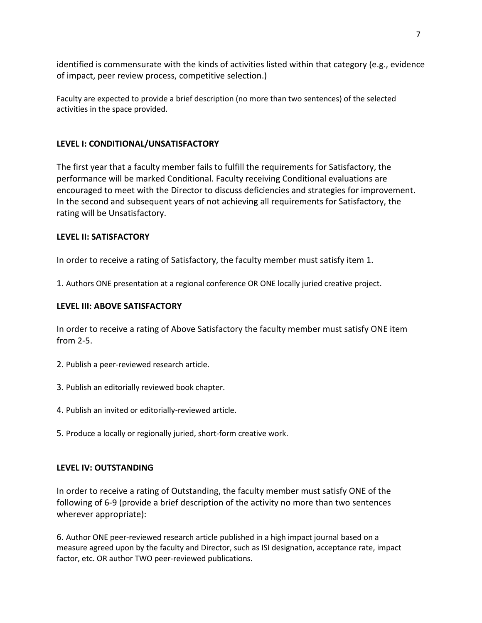identified is commensurate with the kinds of activities listed within that category (e.g., evidence of impact, peer review process, competitive selection.)

Faculty are expected to provide a brief description (no more than two sentences) of the selected activities in the space provided.

### **LEVEL I: CONDITIONAL/UNSATISFACTORY**

The first year that a faculty member fails to fulfill the requirements for Satisfactory, the performance will be marked Conditional. Faculty receiving Conditional evaluations are encouraged to meet with the Director to discuss deficiencies and strategies for improvement. In the second and subsequent years of not achieving all requirements for Satisfactory, the rating will be Unsatisfactory.

### **LEVEL II: SATISFACTORY**

In order to receive a rating of Satisfactory, the faculty member must satisfy item 1.

1. Authors ONE presentation at a regional conference OR ONE locally juried creative project.

### **LEVEL III: ABOVE SATISFACTORY**

In order to receive a rating of Above Satisfactory the faculty member must satisfy ONE item from 2-5.

- 2. Publish a peer-reviewed research article.
- 3. Publish an editorially reviewed book chapter.
- 4. Publish an invited or editorially-reviewed article.
- 5. Produce a locally or regionally juried, short-form creative work.

### **LEVEL IV: OUTSTANDING**

In order to receive a rating of Outstanding, the faculty member must satisfy ONE of the following of 6-9 (provide a brief description of the activity no more than two sentences wherever appropriate):

6. Author ONE peer-reviewed research article published in a high impact journal based on a measure agreed upon by the faculty and Director, such as ISI designation, acceptance rate, impact factor, etc. OR author TWO peer-reviewed publications.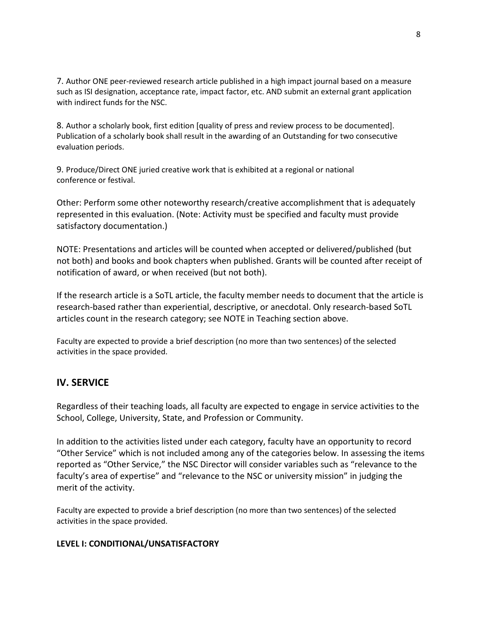7. Author ONE peer-reviewed research article published in a high impact journal based on a measure such as ISI designation, acceptance rate, impact factor, etc. AND submit an external grant application with indirect funds for the NSC.

8. Author a scholarly book, first edition [quality of press and review process to be documented]. Publication of a scholarly book shall result in the awarding of an Outstanding for two consecutive evaluation periods.

9. Produce/Direct ONE juried creative work that is exhibited at a regional or national conference or festival.

Other: Perform some other noteworthy research/creative accomplishment that is adequately represented in this evaluation. (Note: Activity must be specified and faculty must provide satisfactory documentation.)

NOTE: Presentations and articles will be counted when accepted or delivered/published (but not both) and books and book chapters when published. Grants will be counted after receipt of notification of award, or when received (but not both).

If the research article is a SoTL article, the faculty member needs to document that the article is research-based rather than experiential, descriptive, or anecdotal. Only research-based SoTL articles count in the research category; see NOTE in Teaching section above.

Faculty are expected to provide a brief description (no more than two sentences) of the selected activities in the space provided.

## **IV. SERVICE**

Regardless of their teaching loads, all faculty are expected to engage in service activities to the School, College, University, State, and Profession or Community.

In addition to the activities listed under each category, faculty have an opportunity to record "Other Service" which is not included among any of the categories below. In assessing the items reported as "Other Service," the NSC Director will consider variables such as "relevance to the faculty's area of expertise" and "relevance to the NSC or university mission" in judging the merit of the activity.

Faculty are expected to provide a brief description (no more than two sentences) of the selected activities in the space provided.

## **LEVEL I: CONDITIONAL/UNSATISFACTORY**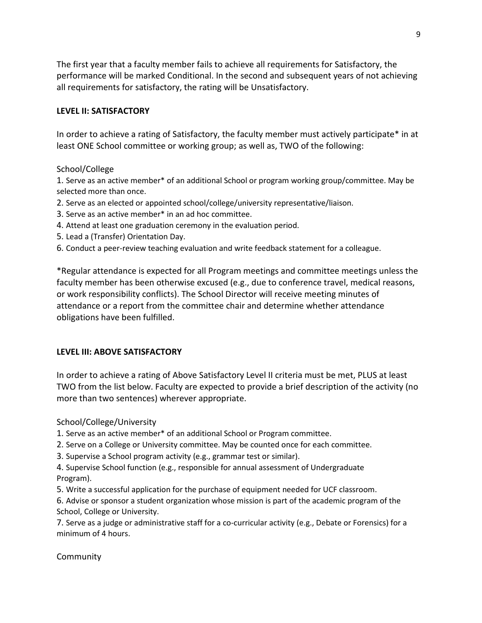The first year that a faculty member fails to achieve all requirements for Satisfactory, the performance will be marked Conditional. In the second and subsequent years of not achieving all requirements for satisfactory, the rating will be Unsatisfactory.

### **LEVEL II: SATISFACTORY**

In order to achieve a rating of Satisfactory, the faculty member must actively participate\* in at least ONE School committee or working group; as well as, TWO of the following:

### School/College

1. Serve as an active member\* of an additional School or program working group/committee. May be selected more than once.

- 2. Serve as an elected or appointed school/college/university representative/liaison.
- 3. Serve as an active member\* in an ad hoc committee.
- 4. Attend at least one graduation ceremony in the evaluation period.
- 5. Lead a (Transfer) Orientation Day.
- 6. Conduct a peer-review teaching evaluation and write feedback statement for a colleague.

\*Regular attendance is expected for all Program meetings and committee meetings unless the faculty member has been otherwise excused (e.g., due to conference travel, medical reasons, or work responsibility conflicts). The School Director will receive meeting minutes of attendance or a report from the committee chair and determine whether attendance obligations have been fulfilled.

### **LEVEL III: ABOVE SATISFACTORY**

In order to achieve a rating of Above Satisfactory Level II criteria must be met, PLUS at least TWO from the list below. Faculty are expected to provide a brief description of the activity (no more than two sentences) wherever appropriate.

School/College/University

1. Serve as an active member\* of an additional School or Program committee.

- 2. Serve on a College or University committee. May be counted once for each committee.
- 3. Supervise a School program activity (e.g., grammar test or similar).

4. Supervise School function (e.g., responsible for annual assessment of Undergraduate Program).

5. Write a successful application for the purchase of equipment needed for UCF classroom.

6. Advise or sponsor a student organization whose mission is part of the academic program of the School, College or University.

7. Serve as a judge or administrative staff for a co-curricular activity (e.g., Debate or Forensics) for a minimum of 4 hours.

## Community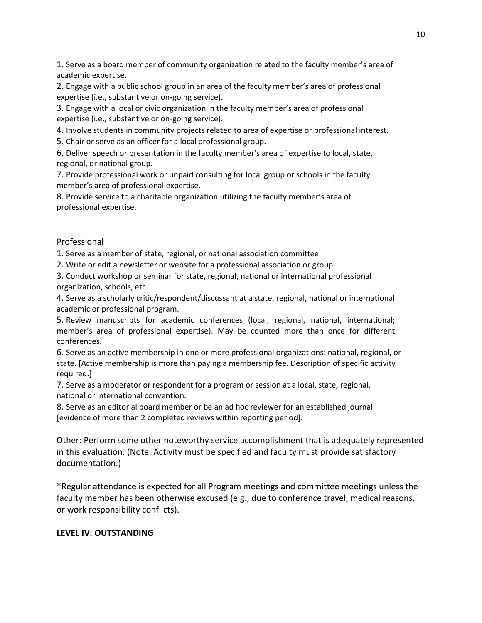1. Serve as a board member of community organization related to the faculty member's area of academic expertise.

2. Engage with a public school group in an area of the faculty member's area of professional expertise (i.e., substantive or on-going service).

3. Engage with a local or civic organization in the faculty member's area of professional expertise (i.e., substantive or on-going service).

4. Involve students in community projects related to area of expertise or professional interest.

5. Chair or serve as an officer for a local professional group.

6. Deliver speech or presentation in the faculty member's area of expertise to local, state, regional, or national group.

7. Provide professional work or unpaid consulting for local group or schools in the faculty member's area of professional expertise.

8. Provide service to a charitable organization utilizing the faculty member's area of professional expertise.

### Professional

1. Serve as a member of state, regional, or national association committee.

2. Write or edit a newsletter or website for a professional association or group.

3. Conduct workshop or seminar for state, regional, national or international professional organization, schools, etc.

4. Serve as a scholarly critic/respondent/discussant at a state, regional, national or international academic or professional program.

5. Review manuscripts for academic conferences (local, regional, national, international; member's area of professional expertise). May be counted more than once for different conferences.

6. Serve as an active membership in one or more professional organizations: national, regional, or state. [Active membership is more than paying a membership fee. Description of specific activity required.]

7. Serve as a moderator or respondent for a program or session at a local, state, regional, national or international convention.

8. Serve as an editorial board member or be an ad hoc reviewer for an established journal [evidence of more than 2 completed reviews within reporting period].

Other: Perform some other noteworthy service accomplishment that is adequately represented in this evaluation. (Note: Activity must be specified and faculty must provide satisfactory documentation.)

\*Regular attendance is expected for all Program meetings and committee meetings unless the faculty member has been otherwise excused (e.g., due to conference travel, medical reasons, or work responsibility conflicts).

#### **LEVEL IV: OUTSTANDING**